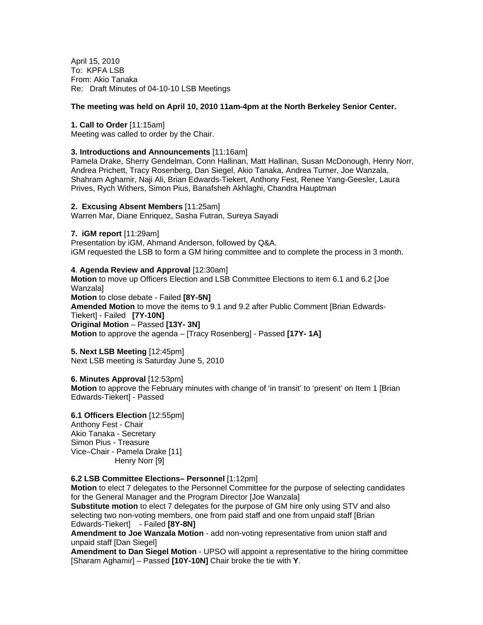April 15, 2010 To: KPFA LSB From: Akio Tanaka Re: Draft Minutes of 04-10-10 LSB Meetings

# **The meeting was held on April 10, 2010 11am-4pm at the North Berkeley Senior Center.**

#### **1. Call to Order** [11:15am]

Meeting was called to order by the Chair.

## **3. Introductions and Announcements** [11:16am]

Pamela Drake, Sherry Gendelman, Conn Hallinan, Matt Hallinan, Susan McDonough, Henry Norr, Andrea Prichett, Tracy Rosenberg, Dan Siegel, Akio Tanaka, Andrea Turner, Joe Wanzala, Shahram Aghamir, Naji Ali, Brian Edwards-Tiekert, Anthony Fest, Renee Yang-Geesler, Laura Prives, Rych Withers, Simon Pius, Banafsheh Akhlaghi, Chandra Hauptman

#### **2. Excusing Absent Members** [11:25am]

Warren Mar, Diane Enriquez, Sasha Futran, Sureya Sayadi

## **7. iGM report** [11:29am]

Presentation by iGM, Ahmand Anderson, followed by Q&A. iGM requested the LSB to form a GM hiring committee and to complete the process in 3 month.

## **4**. **Agenda Review and Approval** [12:30am]

**Motion** to move up Officers Election and LSB Committee Elections to item 6.1 and 6.2 [Joe **Wanzalal Motion** to close debate - Failed **[8Y-5N] Amended Motion** to move the items to 9.1 and 9.2 after Public Comment [Brian Edwards-Tiekert] - Failed **[7Y-10N] Original Motion** – Passed **[13Y- 3N] Motion** to approve the agenda – [Tracy Rosenberg] - Passed **[17Y- 1A]** 

# **5. Next LSB Meeting** [12:45pm]

Next LSB meeting is Saturday June 5, 2010

## **6. Minutes Approval** [12:53pm]

**Motion** to approve the February minutes with change of 'in transit' to 'present' on Item 1 [Brian Edwards-Tiekert] - Passed

## **6.1 Officers Election** [12:55pm] Anthony Fest - Chair Akio Tanaka - Secretary Simon Pius - Treasure Vice–Chair - Pamela Drake [11] Henry Norr [9]

## **6.2 LSB Committee Elections– Personnel** [1:12pm]

**Motion** to elect 7 delegates to the Personnel Committee for the purpose of selecting candidates for the General Manager and the Program Director [Joe Wanzala]

**Substitute motion** to elect 7 delegates for the purpose of GM hire only using STV and also selecting two non-voting members, one from paid staff and one from unpaid staff [Brian Edwards-Tiekert] - Failed **[8Y-8N]** 

**Amendment to Joe Wanzala Motion** - add non-voting representative from union staff and unpaid staff [Dan Siegel]

**Amendment to Dan Siegel Motion** - UPSO will appoint a representative to the hiring committee [Sharam Aghamir] – Passed **[10Y-10N]** Chair broke the tie with **Y**.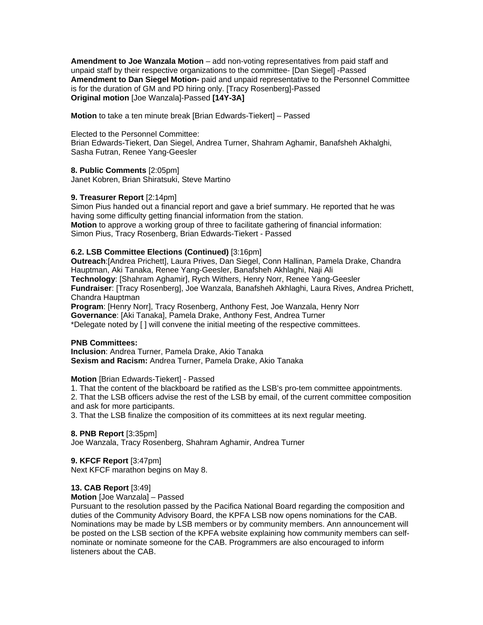**Amendment to Joe Wanzala Motion** – add non-voting representatives from paid staff and unpaid staff by their respective organizations to the committee- [Dan Siegel] -Passed **Amendment to Dan Siegel Motion-** paid and unpaid representative to the Personnel Committee is for the duration of GM and PD hiring only. [Tracy Rosenberg]-Passed **Original motion** [Joe Wanzala]-Passed **[14Y-3A]** 

**Motion** to take a ten minute break [Brian Edwards-Tiekert] – Passed

# Elected to the Personnel Committee:

Brian Edwards-Tiekert, Dan Siegel, Andrea Turner, Shahram Aghamir, Banafsheh Akhalghi, Sasha Futran, Renee Yang-Geesler

# **8. Public Comments** [2:05pm]

Janet Kobren, Brian Shiratsuki, Steve Martino

# **9. Treasurer Report** [2:14pm]

Simon Pius handed out a financial report and gave a brief summary. He reported that he was having some difficulty getting financial information from the station. **Motion** to approve a working group of three to facilitate gathering of financial information: Simon Pius, Tracy Rosenberg, Brian Edwards-Tiekert - Passed

# **6.2. LSB Committee Elections (Continued)** [3:16pm]

**Outreach**:[Andrea Prichett], Laura Prives, Dan Siegel, Conn Hallinan, Pamela Drake, Chandra Hauptman, Aki Tanaka, Renee Yang-Geesler, Banafsheh Akhlaghi, Naji Ali **Technology**: [Shahram Aghamir], Rych Withers, Henry Norr, Renee Yang-Geesler **Fundraiser**: [Tracy Rosenberg], Joe Wanzala, Banafsheh Akhlaghi, Laura Rives, Andrea Prichett, Chandra Hauptman **Program**: [Henry Norr], Tracy Rosenberg, Anthony Fest, Joe Wanzala, Henry Norr

**Governance**: [Aki Tanaka], Pamela Drake, Anthony Fest, Andrea Turner \*Delegate noted by [ ] will convene the initial meeting of the respective committees.

## **PNB Committees:**

**Inclusion**: Andrea Turner, Pamela Drake, Akio Tanaka **Sexism and Racism:** Andrea Turner, Pamela Drake, Akio Tanaka

# **Motion** [Brian Edwards-Tiekert] - Passed

1. That the content of the blackboard be ratified as the LSB's pro-tem committee appointments.

2. That the LSB officers advise the rest of the LSB by email, of the current committee composition and ask for more participants.

3. That the LSB finalize the composition of its committees at its next regular meeting.

# **8. PNB Report** [3:35pm]

Joe Wanzala, Tracy Rosenberg, Shahram Aghamir, Andrea Turner

# **9. KFCF Report** [3:47pm]

Next KFCF marathon begins on May 8.

# **13. CAB Report** [3:49]

**Motion** [Joe Wanzala] – Passed

Pursuant to the resolution passed by the Pacifica National Board regarding the composition and duties of the Community Advisory Board, the KPFA LSB now opens nominations for the CAB. Nominations may be made by LSB members or by community members. Ann announcement will be posted on the LSB section of the KPFA website explaining how community members can selfnominate or nominate someone for the CAB. Programmers are also encouraged to inform listeners about the CAB.